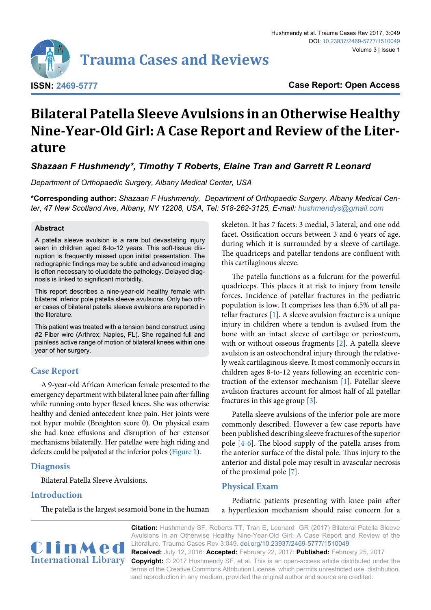

**Case Report: Open Access**

# **Bilateral Patella Sleeve Avulsions in an Otherwise Healthy Nine-Year-Old Girl: A Case Report and Review of the Literature**

*Shazaan F Hushmendy\*, Timothy T Roberts, Elaine Tran and Garrett R Leonard*

*Department of Orthopaedic Surgery, Albany Medical Center, USA*

**\*Corresponding author:** *Shazaan F Hushmendy, Department of Orthopaedic Surgery, Albany Medical Center, 47 New Scotland Ave, Albany, NY 12208, USA, Tel: 518-262-3125, E-mail: hushmendys@gmail.com*

#### **Abstract**

A patella sleeve avulsion is a rare but devastating injury seen in children aged 8-to-12 years. This soft-tissue disruption is frequently missed upon initial presentation. The radiographic findings may be subtle and advanced imaging is often necessary to elucidate the pathology. Delayed diagnosis is linked to significant morbidity.

This report describes a nine-year-old healthy female with bilateral inferior pole patella sleeve avulsions. Only two other cases of bilateral patella sleeve avulsions are reported in the literature.

This patient was treated with a tension band construct using #2 Fiber wire (Arthrex; Naples, FL). She regained full and painless active range of motion of bilateral knees within one year of her surgery.

## **Case Report**

A 9-year-old African American female presented to the emergency department with bilateral knee pain after falling while running onto hyper flexed knees. She was otherwise healthy and denied antecedent knee pain. Her joints were not hyper mobile (Breighton score 0). On physical exam she had knee effusions and disruption of her extensor mechanisms bilaterally. Her patellae were high riding and defects could be palpated at the inferior poles [\(Figure 1\)](#page-1-0).

#### **Diagnosis**

Bilateral Patella Sleeve Avulsions.

## **Introduction**

The patella is the largest sesamoid bone in the human

skeleton. It has 7 facets: 3 medial, 3 lateral, and one odd facet. Ossification occurs between 3 and 6 years of age, during which it is surrounded by a sleeve of cartilage. The quadriceps and patellar tendons are confluent with this cartilaginous sleeve.

The patella functions as a fulcrum for the powerful quadriceps. This places it at risk to injury from tensile forces. Incidence of patellar fractures in the pediatric population is low. It comprises less than 6.5% of all patellar fractures [\[1](#page-3-0)]. A sleeve avulsion fracture is a unique injury in children where a tendon is avulsed from the bone with an intact sleeve of cartilage or periosteum, with or without osseous fragments [[2\]](#page-3-1). A patella sleeve avulsion is an osteochondral injury through the relatively weak cartilaginous sleeve. It most commonly occurs in children ages 8-to-12 years following an eccentric contraction of the extensor mechanism [\[1\]](#page-3-0). Patellar sleeve avulsion fractures account for almost half of all patellar fractures in this age group [\[3\]](#page-3-2).

Patella sleeve avulsions of the inferior pole are more commonly described. However a few case reports have been published describing sleeve fractures of the superior pole [[4-](#page-3-3)[6\]](#page-3-4). The blood supply of the patella arises from the anterior surface of the distal pole. Thus injury to the anterior and distal pole may result in avascular necrosis of the proximal pole [[7](#page-3-5)].

### **Physical Exam**

Pediatric patients presenting with knee pain after a hyperflexion mechanism should raise concern for a



**Citation:** Hushmendy SF, Roberts TT, Tran E, Leonard GR (2017) Bilateral Patella Sleeve Avulsions in an Otherwise Healthy Nine-Year-Old Girl: A Case Report and Review of the Literature. Trauma Cases Rev 3:049. [doi.org/10.23937/2469-5777/1510049](https://doi.org/10.23937/2469-5777/1510049)

**Received:** July 12, 2016: **Accepted:** February 22, 2017: **Published:** February 25, 2017 **Copyright:** © 2017 Hushmendy SF, et al. This is an open-access article distributed under the terms of the Creative Commons Attribution License, which permits unrestricted use, distribution, and reproduction in any medium, provided the original author and source are credited.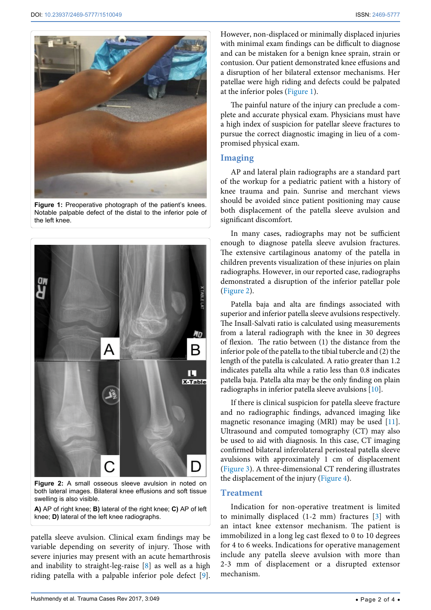<span id="page-1-0"></span>

**Figure 1:** Preoperative photograph of the patient's knees. Notable palpable defect of the distal to the inferior pole of the left knee.

<span id="page-1-1"></span>

**Figure 2:** A small osseous sleeve avulsion in noted on both lateral images. Bilateral knee effusions and soft tissue swelling is also visible.

**A)** AP of right knee; **B)** lateral of the right knee; **C)** AP of left knee; **D)** lateral of the left knee radiographs.

patella sleeve avulsion. Clinical exam findings may be variable depending on severity of injury. Those with severe injuries may present with an acute hemarthrosis and inability to straight-leg-raise [\[8](#page-3-8)] as well as a high riding patella with a palpable inferior pole defect [[9](#page-3-9)]. However, non-displaced or minimally displaced injuries with minimal exam findings can be difficult to diagnose and can be mistaken for a benign knee sprain, strain or contusion. Our patient demonstrated knee effusions and a disruption of her bilateral extensor mechanisms. Her patellae were high riding and defects could be palpated at the inferior poles [\(Figure 1](#page-1-0)).

The painful nature of the injury can preclude a complete and accurate physical exam. Physicians must have a high index of suspicion for patellar sleeve fractures to pursue the correct diagnostic imaging in lieu of a compromised physical exam.

## **Imaging**

AP and lateral plain radiographs are a standard part of the workup for a pediatric patient with a history of knee trauma and pain. Sunrise and merchant views should be avoided since patient positioning may cause both displacement of the patella sleeve avulsion and significant discomfort.

In many cases, radiographs may not be sufficient enough to diagnose patella sleeve avulsion fractures. The extensive cartilaginous anatomy of the patella in children prevents visualization of these injuries on plain radiographs. However, in our reported case, radiographs demonstrated a disruption of the inferior patellar pole ([Figure 2\)](#page-1-1).

Patella baja and alta are findings associated with superior and inferior patella sleeve avulsions respectively. The Insall-Salvati ratio is calculated using measurements from a lateral radiograph with the knee in 30 degrees of flexion. The ratio between (1) the distance from the inferior pole of the patella to the tibial tubercle and (2) the length of the patella is calculated. A ratio greater than 1.2 indicates patella alta while a ratio less than 0.8 indicates patella baja. Patella alta may be the only finding on plain radiographs in inferior patella sleeve avulsions [\[10\]](#page-3-6).

If there is clinical suspicion for patella sleeve fracture and no radiographic findings, advanced imaging like magnetic resonance imaging (MRI) may be used [[11](#page-3-7)]. Ultrasound and computed tomography (CT) may also be used to aid with diagnosis. In this case, CT imaging confirmed bilateral inferolateral periosteal patella sleeve avulsions with approximately 1 cm of displacement ([Figure 3\)](#page-2-0). A three-dimensional CT rendering illustrates the displacement of the injury ([Figure 4](#page-2-1)).

## **Treatment**

Indication for non-operative treatment is limited to minimally displaced (1-2 mm) fractures [\[3\]](#page-3-2) with an intact knee extensor mechanism. The patient is immobilized in a long leg cast flexed to 0 to 10 degrees for 4 to 6 weeks. Indications for operative management include any patella sleeve avulsion with more than 2-3 mm of displacement or a disrupted extensor mechanism.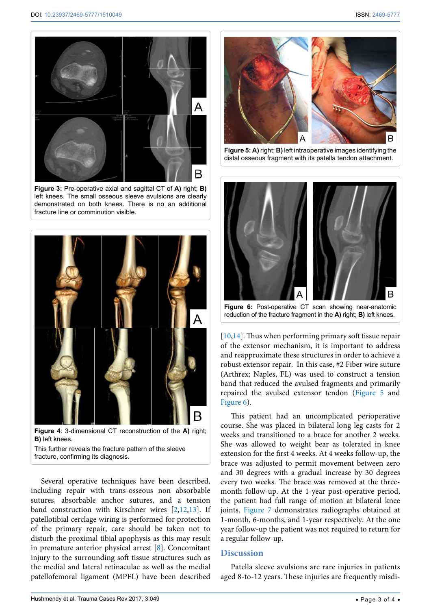<span id="page-2-0"></span>

**Figure 3:** Pre-operative axial and sagittal CT of **A)** right; **B)** left knees. The small osseous sleeve avulsions are clearly demonstrated on both knees. There is no an additional fracture line or comminution visible.

<span id="page-2-1"></span>

**Figure 4**: 3-dimensional CT reconstruction of the **A)** right; **B)** left knees. This further reveals the fracture pattern of the sleeve

fracture, confirming its diagnosis.

Several operative techniques have been described, including repair with trans-osseous non absorbable sutures, absorbable anchor sutures, and a tension band construction with Kirschner wires [\[2](#page-3-1),[12](#page-3-12),[13\]](#page-3-13). If patellotibial cerclage wiring is performed for protection of the primary repair, care should be taken not to disturb the proximal tibial apophysis as this may result in premature anterior physical arrest [[8\]](#page-3-8). Concomitant injury to the surrounding soft tissue structures such as the medial and lateral retinaculae as well as the medial patellofemoral ligament (MPFL) have been described

<span id="page-2-2"></span>

**Figure 5: A)** right; **B)** left intraoperative images identifying the distal osseous fragment with its patella tendon attachment.

<span id="page-2-3"></span>

**Figure 6:** Post-operative CT scan showing near-anatomic reduction of the fracture fragment in the **A)** right; **B)** left knees.

[[10](#page-3-6),[14](#page-3-10)]. Thus when performing primary soft tissue repair of the extensor mechanism, it is important to address and reapproximate these structures in order to achieve a robust extensor repair. In this case, #2 Fiber wire suture (Arthrex; Naples, FL) was used to construct a tension band that reduced the avulsed fragments and primarily repaired the avulsed extensor tendon ([Figure 5](#page-2-2) and F[igure 6](#page-2-3)).

This patient had an uncomplicated perioperative course. She was placed in bilateral long leg casts for 2 weeks and transitioned to a brace for another 2 weeks. She was allowed to weight bear as tolerated in knee extension for the first 4 weeks. At 4 weeks follow-up, the brace was adjusted to permit movement between zero and 30 degrees with a gradual increase by 30 degrees every two weeks. The brace was removed at the threemonth follow-up. At the 1-year post-operative period, the patient had full range of motion at bilateral knee joints. [Figure 7](#page-3-11) demonstrates radiographs obtained at 1-month, 6-months, and 1-year respectively. At the one year follow-up the patient was not required to return for a regular follow-up.

#### **Discussion**

Patella sleeve avulsions are rare injuries in patients aged 8-to-12 years. These injuries are frequently misdi-